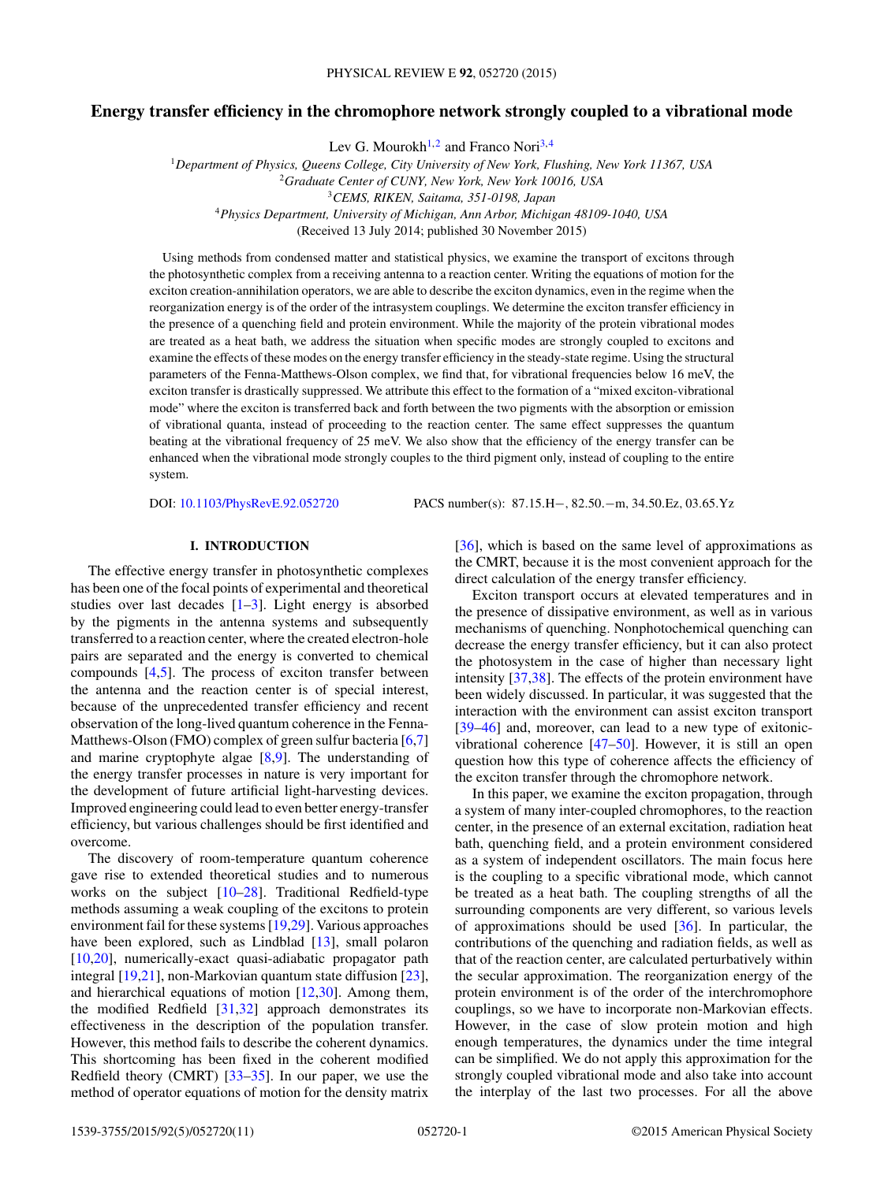# **Energy transfer efficiency in the chromophore network strongly coupled to a vibrational mode**

Lev G. Mourokh<sup>1,2</sup> and Franco Nori<sup>3,4</sup>

<sup>1</sup>*Department of Physics, Queens College, City University of New York, Flushing, New York 11367, USA*

<sup>2</sup>*Graduate Center of CUNY, New York, New York 10016, USA*

<sup>3</sup>*CEMS, RIKEN, Saitama, 351-0198, Japan*

<sup>4</sup>*Physics Department, University of Michigan, Ann Arbor, Michigan 48109-1040, USA*

(Received 13 July 2014; published 30 November 2015)

Using methods from condensed matter and statistical physics, we examine the transport of excitons through the photosynthetic complex from a receiving antenna to a reaction center. Writing the equations of motion for the exciton creation-annihilation operators, we are able to describe the exciton dynamics, even in the regime when the reorganization energy is of the order of the intrasystem couplings. We determine the exciton transfer efficiency in the presence of a quenching field and protein environment. While the majority of the protein vibrational modes are treated as a heat bath, we address the situation when specific modes are strongly coupled to excitons and examine the effects of these modes on the energy transfer efficiency in the steady-state regime. Using the structural parameters of the Fenna-Matthews-Olson complex, we find that, for vibrational frequencies below 16 meV, the exciton transfer is drastically suppressed. We attribute this effect to the formation of a "mixed exciton-vibrational mode" where the exciton is transferred back and forth between the two pigments with the absorption or emission of vibrational quanta, instead of proceeding to the reaction center. The same effect suppresses the quantum beating at the vibrational frequency of 25 meV. We also show that the efficiency of the energy transfer can be enhanced when the vibrational mode strongly couples to the third pigment only, instead of coupling to the entire system.

DOI: [10.1103/PhysRevE.92.052720](http://dx.doi.org/10.1103/PhysRevE.92.052720) PACS number(s): 87*.*15*.*H−*,* 82*.*50*.*−m*,* 34*.*50*.*Ez*,* 03*.*65*.*Yz

# **I. INTRODUCTION**

The effective energy transfer in photosynthetic complexes has been one of the focal points of experimental and theoretical studies over last decades  $[1-3]$ . Light energy is absorbed by the pigments in the antenna systems and subsequently transferred to a reaction center, where the created electron-hole pairs are separated and the energy is converted to chemical compounds [\[4,5\]](#page-9-0). The process of exciton transfer between the antenna and the reaction center is of special interest, because of the unprecedented transfer efficiency and recent observation of the long-lived quantum coherence in the Fenna-Matthews-Olson (FMO) complex of green sulfur bacteria [\[6,7\]](#page-9-0) and marine cryptophyte algae [\[8,9\]](#page-9-0). The understanding of the energy transfer processes in nature is very important for the development of future artificial light-harvesting devices. Improved engineering could lead to even better energy-transfer efficiency, but various challenges should be first identified and overcome.

The discovery of room-temperature quantum coherence gave rise to extended theoretical studies and to numerous works on the subject [\[10–28\]](#page-9-0). Traditional Redfield-type methods assuming a weak coupling of the excitons to protein environment fail for these systems [\[19,29\]](#page-9-0). Various approaches have been explored, such as Lindblad [\[13\]](#page-9-0), small polaron [\[10,20\]](#page-9-0), numerically-exact quasi-adiabatic propagator path integral [\[19,21\]](#page-9-0), non-Markovian quantum state diffusion [\[23\]](#page-9-0), and hierarchical equations of motion [\[12,30\]](#page-9-0). Among them, the modified Redfield [\[31,32\]](#page-10-0) approach demonstrates its effectiveness in the description of the population transfer. However, this method fails to describe the coherent dynamics. This shortcoming has been fixed in the coherent modified Redfield theory (CMRT) [\[33–35\]](#page-10-0). In our paper, we use the method of operator equations of motion for the density matrix [\[36\]](#page-10-0), which is based on the same level of approximations as the CMRT, because it is the most convenient approach for the direct calculation of the energy transfer efficiency.

Exciton transport occurs at elevated temperatures and in the presence of dissipative environment, as well as in various mechanisms of quenching. Nonphotochemical quenching can decrease the energy transfer efficiency, but it can also protect the photosystem in the case of higher than necessary light intensity [\[37,38\]](#page-10-0). The effects of the protein environment have been widely discussed. In particular, it was suggested that the interaction with the environment can assist exciton transport [\[39–46\]](#page-10-0) and, moreover, can lead to a new type of exitonicvibrational coherence [\[47–50\]](#page-10-0). However, it is still an open question how this type of coherence affects the efficiency of the exciton transfer through the chromophore network.

In this paper, we examine the exciton propagation, through a system of many inter-coupled chromophores, to the reaction center, in the presence of an external excitation, radiation heat bath, quenching field, and a protein environment considered as a system of independent oscillators. The main focus here is the coupling to a specific vibrational mode, which cannot be treated as a heat bath. The coupling strengths of all the surrounding components are very different, so various levels of approximations should be used [\[36\]](#page-10-0). In particular, the contributions of the quenching and radiation fields, as well as that of the reaction center, are calculated perturbatively within the secular approximation. The reorganization energy of the protein environment is of the order of the interchromophore couplings, so we have to incorporate non-Markovian effects. However, in the case of slow protein motion and high enough temperatures, the dynamics under the time integral can be simplified. We do not apply this approximation for the strongly coupled vibrational mode and also take into account the interplay of the last two processes. For all the above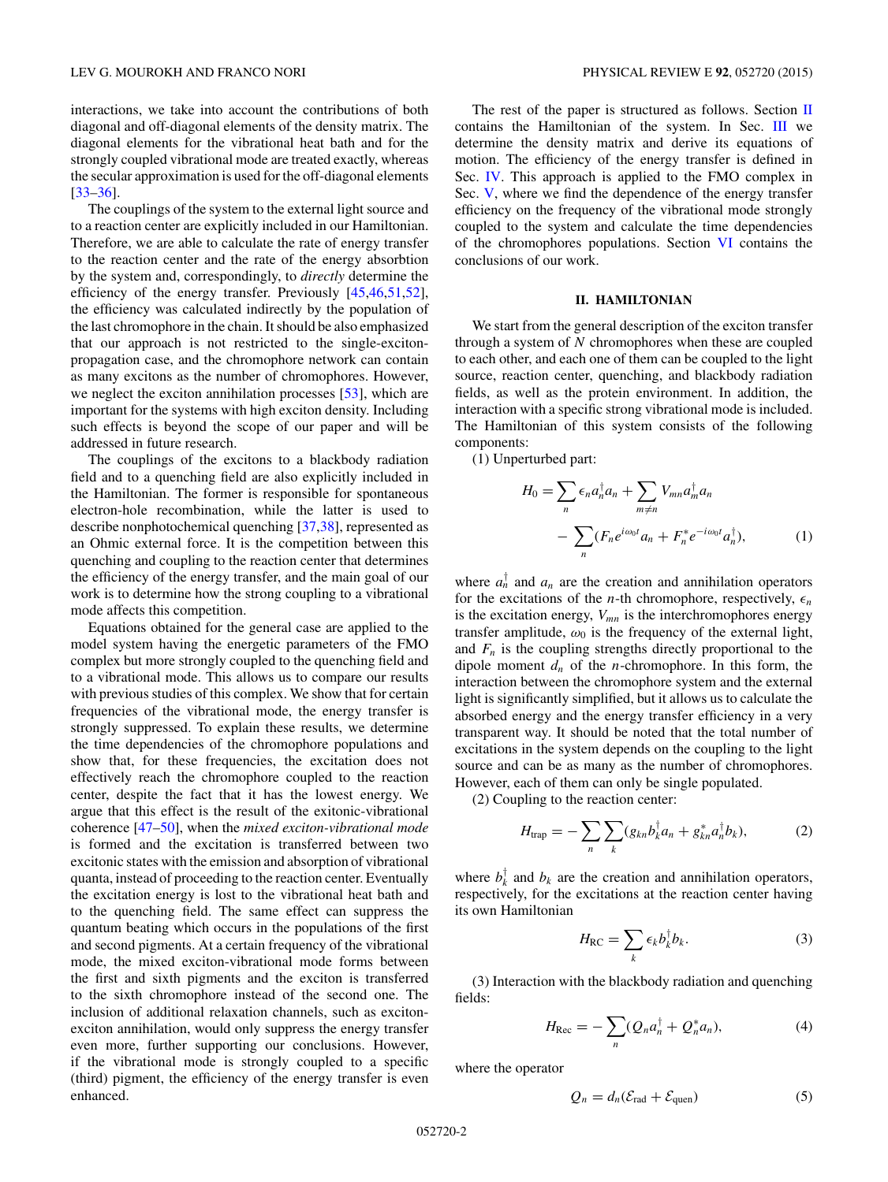## <span id="page-1-0"></span>LEV G. MOUROKH AND FRANCO NORI PHYSICAL REVIEW E **92**, 052720 (2015)

interactions, we take into account the contributions of both diagonal and off-diagonal elements of the density matrix. The diagonal elements for the vibrational heat bath and for the strongly coupled vibrational mode are treated exactly, whereas the secular approximation is used for the off-diagonal elements [\[33–36\]](#page-10-0).

The couplings of the system to the external light source and to a reaction center are explicitly included in our Hamiltonian. Therefore, we are able to calculate the rate of energy transfer to the reaction center and the rate of the energy absorbtion by the system and, correspondingly, to *directly* determine the efficiency of the energy transfer. Previously [\[45,46,51,52\]](#page-10-0), the efficiency was calculated indirectly by the population of the last chromophore in the chain. It should be also emphasized that our approach is not restricted to the single-excitonpropagation case, and the chromophore network can contain as many excitons as the number of chromophores. However, we neglect the exciton annihilation processes [\[53\]](#page-10-0), which are important for the systems with high exciton density. Including such effects is beyond the scope of our paper and will be addressed in future research.

The couplings of the excitons to a blackbody radiation field and to a quenching field are also explicitly included in the Hamiltonian. The former is responsible for spontaneous electron-hole recombination, while the latter is used to describe nonphotochemical quenching [\[37,38\]](#page-10-0), represented as an Ohmic external force. It is the competition between this quenching and coupling to the reaction center that determines the efficiency of the energy transfer, and the main goal of our work is to determine how the strong coupling to a vibrational mode affects this competition.

Equations obtained for the general case are applied to the model system having the energetic parameters of the FMO complex but more strongly coupled to the quenching field and to a vibrational mode. This allows us to compare our results with previous studies of this complex. We show that for certain frequencies of the vibrational mode, the energy transfer is strongly suppressed. To explain these results, we determine the time dependencies of the chromophore populations and show that, for these frequencies, the excitation does not effectively reach the chromophore coupled to the reaction center, despite the fact that it has the lowest energy. We argue that this effect is the result of the exitonic-vibrational coherence [\[47–50\]](#page-10-0), when the *mixed exciton-vibrational mode* is formed and the excitation is transferred between two excitonic states with the emission and absorption of vibrational quanta, instead of proceeding to the reaction center. Eventually the excitation energy is lost to the vibrational heat bath and to the quenching field. The same effect can suppress the quantum beating which occurs in the populations of the first and second pigments. At a certain frequency of the vibrational mode, the mixed exciton-vibrational mode forms between the first and sixth pigments and the exciton is transferred to the sixth chromophore instead of the second one. The inclusion of additional relaxation channels, such as excitonexciton annihilation, would only suppress the energy transfer even more, further supporting our conclusions. However, if the vibrational mode is strongly coupled to a specific (third) pigment, the efficiency of the energy transfer is even enhanced.

The rest of the paper is structured as follows. Section  $\Pi$ contains the Hamiltonian of the system. In Sec. [III](#page-2-0) we determine the density matrix and derive its equations of motion. The efficiency of the energy transfer is defined in Sec. [IV.](#page-3-0) This approach is applied to the FMO complex in Sec. [V,](#page-3-0) where we find the dependence of the energy transfer efficiency on the frequency of the vibrational mode strongly coupled to the system and calculate the time dependencies of the chromophores populations. Section [VI](#page-6-0) contains the conclusions of our work.

## **II. HAMILTONIAN**

We start from the general description of the exciton transfer through a system of *N* chromophores when these are coupled to each other, and each one of them can be coupled to the light source, reaction center, quenching, and blackbody radiation fields, as well as the protein environment. In addition, the interaction with a specific strong vibrational mode is included. The Hamiltonian of this system consists of the following components:

(1) Unperturbed part:

$$
H_0 = \sum_n \epsilon_n a_n^{\dagger} a_n + \sum_{m \neq n} V_{mn} a_m^{\dagger} a_n
$$

$$
- \sum_n (F_n e^{i\omega_0 t} a_n + F_n^* e^{-i\omega_0 t} a_n^{\dagger}), \qquad (1)
$$

where  $a_n^{\dagger}$  and  $a_n$  are the creation and annihilation operators for the excitations of the *n*-th chromophore, respectively,  $\epsilon_n$ is the excitation energy,  $V_{mn}$  is the interchromophores energy transfer amplitude,  $\omega_0$  is the frequency of the external light, and  $F_n$  is the coupling strengths directly proportional to the dipole moment *dn* of the *n*-chromophore. In this form, the interaction between the chromophore system and the external light is significantly simplified, but it allows us to calculate the absorbed energy and the energy transfer efficiency in a very transparent way. It should be noted that the total number of excitations in the system depends on the coupling to the light source and can be as many as the number of chromophores. However, each of them can only be single populated.

(2) Coupling to the reaction center:

$$
H_{\rm trap} = -\sum_{n} \sum_{k} (g_{kn} b_{k}^{\dagger} a_{n} + g_{kn}^{*} a_{n}^{\dagger} b_{k}), \tag{2}
$$

where  $b_k^{\dagger}$  and  $b_k$  are the creation and annihilation operators, respectively, for the excitations at the reaction center having its own Hamiltonian

$$
H_{\rm RC} = \sum_{k} \epsilon_k b_k^{\dagger} b_k. \tag{3}
$$

(3) Interaction with the blackbody radiation and quenching fields:

$$
H_{\text{Rec}} = -\sum_{n} (Q_n a_n^{\dagger} + Q_n^* a_n), \tag{4}
$$

where the operator

$$
Q_n = d_n(\mathcal{E}_{\text{rad}} + \mathcal{E}_{\text{quen}}) \tag{5}
$$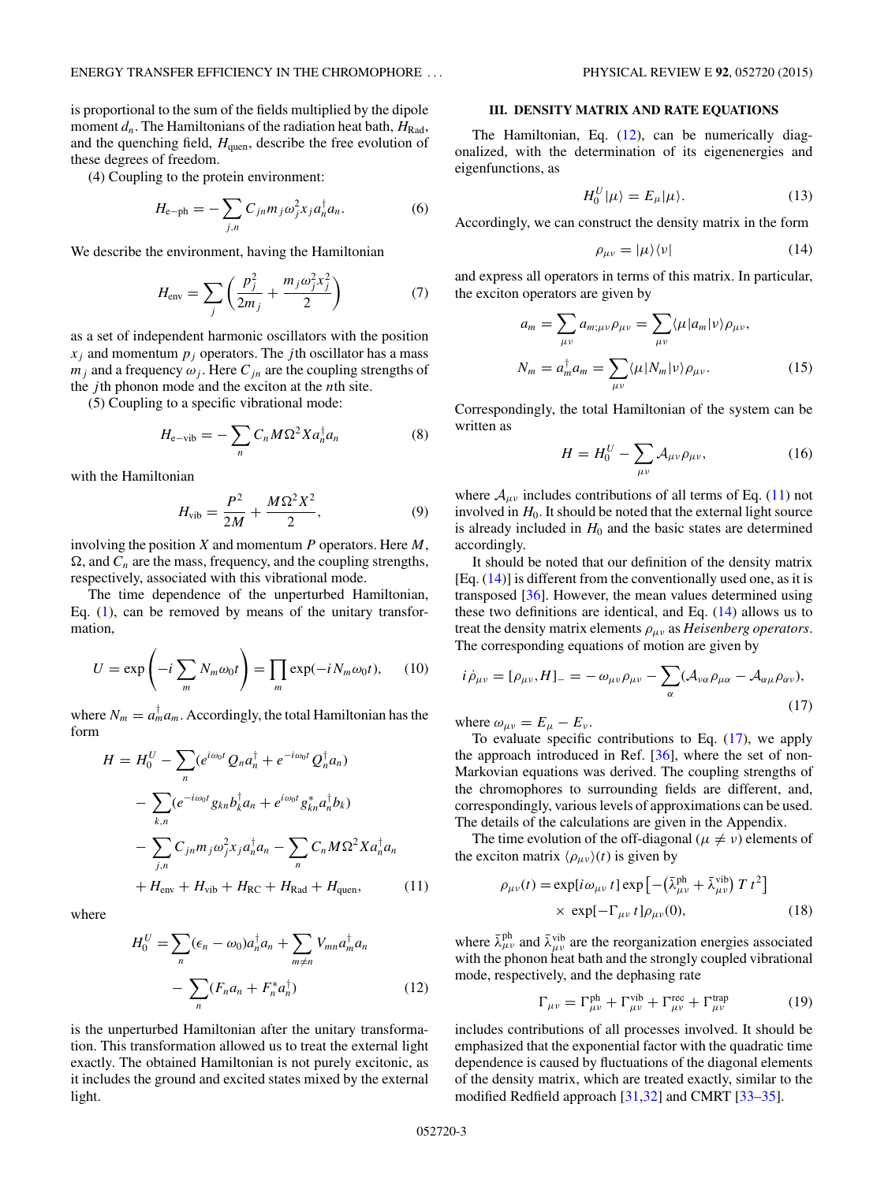<span id="page-2-0"></span>is proportional to the sum of the fields multiplied by the dipole moment  $d_n$ . The Hamiltonians of the radiation heat bath,  $H_{\text{Rad}}$ , and the quenching field,  $H_{\text{quen}}$ , describe the free evolution of these degrees of freedom.

(4) Coupling to the protein environment:

$$
H_{\rm e-ph} = -\sum_{j,n} C_{jn} m_j \omega_j^2 x_j a_n^{\dagger} a_n. \tag{6}
$$

We describe the environment, having the Hamiltonian

$$
H_{\text{env}} = \sum_{j} \left( \frac{p_j^2}{2m_j} + \frac{m_j \omega_j^2 x_j^2}{2} \right) \tag{7}
$$

as a set of independent harmonic oscillators with the position  $x_i$  and momentum  $p_i$  operators. The *j*th oscillator has a mass  $m_j$  and a frequency  $\omega_j$ . Here  $C_{jn}$  are the coupling strengths of the *j* th phonon mode and the exciton at the *n*th site.

(5) Coupling to a specific vibrational mode:

$$
H_{\text{e-vib}} = -\sum_{n} C_n M \Omega^2 X a_n^{\dagger} a_n \tag{8}
$$

with the Hamiltonian

$$
H_{\rm vib} = \frac{P^2}{2M} + \frac{M\Omega^2 X^2}{2},
$$
 (9)

involving the position *X* and momentum *P* operators. Here *M*,  $\Omega$ , and  $C_n$  are the mass, frequency, and the coupling strengths, respectively, associated with this vibrational mode.

The time dependence of the unperturbed Hamiltonian, Eq. [\(1\)](#page-1-0), can be removed by means of the unitary transformation,

$$
U = \exp\left(-i\sum_{m} N_{m}\omega_{0}t\right) = \prod_{m} \exp(-iN_{m}\omega_{0}t), \quad (10)
$$

where  $N_m = a_m^{\dagger} a_m$ . Accordingly, the total Hamiltonian has the form

$$
H = H_0^U - \sum_n (e^{i\omega_0 t} Q_n a_n^{\dagger} + e^{-i\omega_0 t} Q_n^{\dagger} a_n)
$$
  

$$
- \sum_{k,n} (e^{-i\omega_0 t} g_{kn} b_k^{\dagger} a_n + e^{i\omega_0 t} g_{kn}^* a_n^{\dagger} b_k)
$$
  

$$
- \sum_{j,n} C_{jn} m_j \omega_j^2 x_j a_n^{\dagger} a_n - \sum_n C_n M \Omega^2 X a_n^{\dagger} a_n
$$
  

$$
+ H_{env} + H_{vib} + H_{RC} + H_{Rad} + H_{quen}, \qquad (11)
$$

where

$$
H_0^U = \sum_n (\epsilon_n - \omega_0) a_n^{\dagger} a_n + \sum_{m \neq n} V_{mn} a_m^{\dagger} a_n
$$

$$
- \sum_n (F_n a_n + F_n^* a_n^{\dagger}) \tag{12}
$$

is the unperturbed Hamiltonian after the unitary transformation. This transformation allowed us to treat the external light exactly. The obtained Hamiltonian is not purely excitonic, as it includes the ground and excited states mixed by the external light.

#### **III. DENSITY MATRIX AND RATE EQUATIONS**

The Hamiltonian, Eq.  $(12)$ , can be numerically diagonalized, with the determination of its eigenenergies and eigenfunctions, as

$$
H_0^U|\mu\rangle = E_\mu|\mu\rangle. \tag{13}
$$

Accordingly, we can construct the density matrix in the form

$$
\rho_{\mu\nu} = |\mu\rangle\langle\nu| \tag{14}
$$

and express all operators in terms of this matrix. In particular, the exciton operators are given by

$$
a_m = \sum_{\mu\nu} a_{m;\mu\nu} \rho_{\mu\nu} = \sum_{\mu\nu} \langle \mu | a_m | \nu \rangle \rho_{\mu\nu},
$$
  

$$
N_m = a_m^{\dagger} a_m = \sum_{\mu\nu} \langle \mu | N_m | \nu \rangle \rho_{\mu\nu}.
$$
 (15)

Correspondingly, the total Hamiltonian of the system can be written as

$$
H = H_0^U - \sum_{\mu\nu} \mathcal{A}_{\mu\nu} \rho_{\mu\nu},\tag{16}
$$

where  $A_{\mu\nu}$  includes contributions of all terms of Eq. (11) not involved in  $H_0$ . It should be noted that the external light source is already included in  $H_0$  and the basic states are determined accordingly.

It should be noted that our definition of the density matrix  $[Eq. (14)]$  is different from the conventionally used one, as it is transposed [\[36\]](#page-10-0). However, the mean values determined using these two definitions are identical, and Eq.  $(14)$  allows us to treat the density matrix elements *ρμν* as *Heisenberg operators*. The corresponding equations of motion are given by

$$
i\dot{\rho}_{\mu\nu} = [\rho_{\mu\nu}, H]_- = -\omega_{\mu\nu}\rho_{\mu\nu} - \sum_{\alpha} (\mathcal{A}_{\nu\alpha}\rho_{\mu\alpha} - \mathcal{A}_{\alpha\mu}\rho_{\alpha\nu}),
$$
\n(17)

where  $\omega_{\mu\nu} = E_{\mu} - E_{\nu}$ .

To evaluate specific contributions to Eq. (17), we apply the approach introduced in Ref. [\[36\]](#page-10-0), where the set of non-Markovian equations was derived. The coupling strengths of the chromophores to surrounding fields are different, and, correspondingly, various levels of approximations can be used. The details of the calculations are given in the Appendix.

The time evolution of the off-diagonal ( $\mu \neq \nu$ ) elements of the exciton matrix  $\langle \rho_{\mu\nu} \rangle(t)$  is given by

$$
\rho_{\mu\nu}(t) = \exp[i\omega_{\mu\nu} t] \exp[-(\bar{\lambda}^{\text{ph}}_{\mu\nu} + \bar{\lambda}^{\text{vib}}_{\mu\nu}) T t^2] \times \exp[-\Gamma_{\mu\nu} t] \rho_{\mu\nu}(0), \qquad (18)
$$

where  $\bar{\lambda}^{\text{ph}}_{\mu\nu}$  and  $\bar{\lambda}^{\text{vib}}_{\mu\nu}$  are the reorganization energies associated with the phonon heat bath and the strongly coupled vibrational mode, respectively, and the dephasing rate

$$
\Gamma_{\mu\nu} = \Gamma_{\mu\nu}^{\text{ph}} + \Gamma_{\mu\nu}^{\text{vib}} + \Gamma_{\mu\nu}^{\text{rec}} + \Gamma_{\mu\nu}^{\text{trap}} \tag{19}
$$

includes contributions of all processes involved. It should be emphasized that the exponential factor with the quadratic time dependence is caused by fluctuations of the diagonal elements of the density matrix, which are treated exactly, similar to the modified Redfield approach [\[31,32\]](#page-10-0) and CMRT [\[33–35\]](#page-10-0).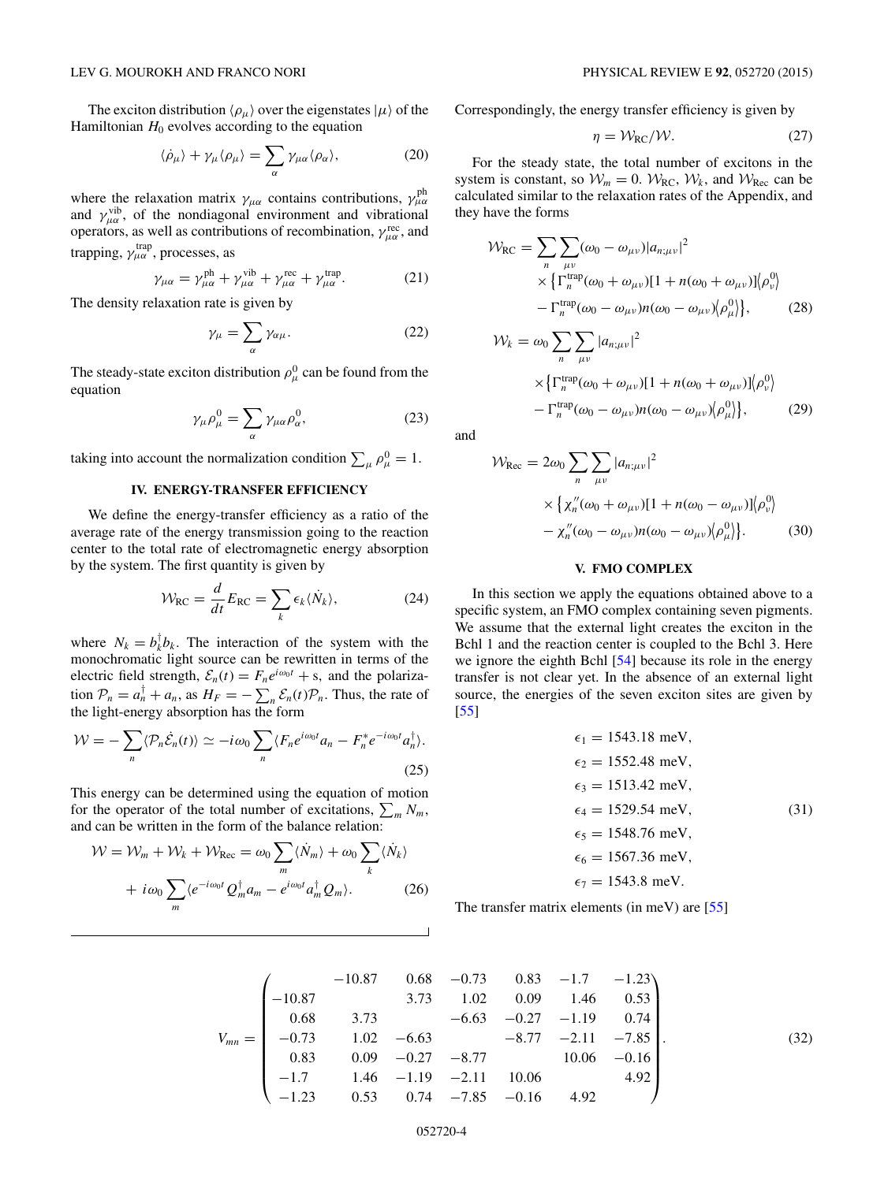<span id="page-3-0"></span>The exciton distribution  $\langle \rho_\mu \rangle$  over the eigenstates  $|\mu \rangle$  of the Hamiltonian  $H_0$  evolves according to the equation

$$
\langle \dot{\rho}_{\mu} \rangle + \gamma_{\mu} \langle \rho_{\mu} \rangle = \sum_{\alpha} \gamma_{\mu \alpha} \langle \rho_{\alpha} \rangle, \tag{20}
$$

where the relaxation matrix  $\gamma_{\mu\alpha}$  contains contributions,  $\gamma_{\mu\alpha}^{\text{ph}}$ and  $\gamma_{\mu\alpha}^{\text{vib}}$ , of the nondiagonal environment and vibrational operators, as well as contributions of recombination,  $\gamma_{\mu\alpha}^{\text{rec}}$ , and trapping,  $\gamma^{\text{trap}}_{\mu\alpha}$ , processes, as

$$
\gamma_{\mu\alpha} = \gamma_{\mu\alpha}^{\text{ph}} + \gamma_{\mu\alpha}^{\text{vib}} + \gamma_{\mu\alpha}^{\text{rec}} + \gamma_{\mu\alpha}^{\text{trap}}.
$$
 (21)

The density relaxation rate is given by

$$
\gamma_{\mu} = \sum_{\alpha} \gamma_{\alpha\mu}.
$$
 (22)

The steady-state exciton distribution  $\rho^0_\mu$  can be found from the equation

$$
\gamma_{\mu}\rho_{\mu}^{0} = \sum_{\alpha} \gamma_{\mu\alpha}\rho_{\alpha}^{0},\qquad(23)
$$

taking into account the normalization condition  $\sum_{\mu} \rho_{\mu}^0 = 1$ .

# **IV. ENERGY-TRANSFER EFFICIENCY**

We define the energy-transfer efficiency as a ratio of the average rate of the energy transmission going to the reaction center to the total rate of electromagnetic energy absorption by the system. The first quantity is given by

$$
\mathcal{W}_{\text{RC}} = \frac{d}{dt} E_{\text{RC}} = \sum_{k} \epsilon_k \langle \dot{N}_k \rangle, \tag{24}
$$

where  $N_k = b_k^{\dagger} b_k$ . The interaction of the system with the monochromatic light source can be rewritten in terms of the electric field strength,  $\mathcal{E}_n(t) = F_n e^{i\omega_0 t} + s$ , and the polarization  $\mathcal{P}_n = a_n^{\dagger} + a_n$ , as  $H_F = -\sum_n \mathcal{E}_n(t)\mathcal{P}_n$ . Thus, the rate of the light-energy absorption has the form

$$
\mathcal{W} = -\sum_{n} \langle \mathcal{P}_n \dot{\mathcal{E}}_n(t) \rangle \simeq -i \omega_0 \sum_{n} \langle F_n e^{i\omega_0 t} a_n - F_n^* e^{-i\omega_0 t} a_n^{\dagger} \rangle.
$$
\n(25)

This energy can be determined using the equation of motion for the operator of the total number of excitations,  $\sum_{m} N_m$ , and can be written in the form of the balance relation:

$$
\mathcal{W} = \mathcal{W}_m + \mathcal{W}_k + \mathcal{W}_{\text{Rec}} = \omega_0 \sum_m \langle \dot{N}_m \rangle + \omega_0 \sum_k \langle \dot{N}_k \rangle
$$

$$
+ i\omega_0 \sum_m \langle e^{-i\omega_0 t} Q_m^{\dagger} a_m - e^{i\omega_0 t} a_m^{\dagger} Q_m \rangle. \tag{26}
$$

Correspondingly, the energy transfer efficiency is given by

$$
\eta = \mathcal{W}_{\text{RC}} / \mathcal{W}.\tag{27}
$$

For the steady state, the total number of excitons in the system is constant, so  $W_m = 0$ .  $W_{RC}$ ,  $W_k$ , and  $W_{Rec}$  can be calculated similar to the relaxation rates of the Appendix, and they have the forms

$$
\mathcal{W}_{\text{RC}} = \sum_{n} \sum_{\mu\nu} (\omega_0 - \omega_{\mu\nu}) |a_{n;\mu\nu}|^2
$$
  
 
$$
\times \left\{ \Gamma_n^{\text{trap}}(\omega_0 + \omega_{\mu\nu}) [1 + n(\omega_0 + \omega_{\mu\nu})] \langle \rho_v^0 \rangle \right.
$$
  
 
$$
- \Gamma_n^{\text{trap}}(\omega_0 - \omega_{\mu\nu}) n(\omega_0 - \omega_{\mu\nu}) \langle \rho_\mu^0 \rangle \right\}, \qquad (28)
$$

$$
\mathcal{W}_k = \omega_0 \sum_n \sum_{\mu\nu} |a_{n;\mu\nu}|^2
$$
  
 
$$
\times \left\{ \Gamma_n^{\text{trap}}(\omega_0 + \omega_{\mu\nu}) [1 + n(\omega_0 + \omega_{\mu\nu})] \middle/ \rho_{\nu}^0 \right\}
$$
  
 
$$
- \Gamma_n^{\text{trap}}(\omega_0 - \omega_{\mu\nu}) n(\omega_0 - \omega_{\mu\nu}) \middle/ \rho_{\mu}^0 \middle. \right\}, \qquad (29)
$$

and

$$
\mathcal{W}_{\text{Rec}} = 2\omega_0 \sum_{n} \sum_{\mu\nu} |a_{n;\mu\nu}|^2
$$
  
 
$$
\times \left\{ \chi''_{n}(\omega_0 + \omega_{\mu\nu})[1 + n(\omega_0 - \omega_{\mu\nu})] \langle \rho_{\nu}^0 \rangle - \chi''_{n}(\omega_0 - \omega_{\mu\nu})n(\omega_0 - \omega_{\mu\nu}) \langle \rho_{\mu}^0 \rangle \right\}. \tag{30}
$$

# **V. FMO COMPLEX**

In this section we apply the equations obtained above to a specific system, an FMO complex containing seven pigments. We assume that the external light creates the exciton in the Bchl 1 and the reaction center is coupled to the Bchl 3. Here we ignore the eighth Bchl [\[54\]](#page-10-0) because its role in the energy transfer is not clear yet. In the absence of an external light source, the energies of the seven exciton sites are given by [\[55\]](#page-10-0)

$$
\epsilon_1 = 1543.18 \text{ meV},
$$
  
\n
$$
\epsilon_2 = 1552.48 \text{ meV},
$$
  
\n
$$
\epsilon_3 = 1513.42 \text{ meV},
$$
  
\n
$$
\epsilon_4 = 1529.54 \text{ meV},
$$
  
\n
$$
\epsilon_5 = 1548.76 \text{ meV},
$$
  
\n
$$
\epsilon_6 = 1567.36 \text{ meV},
$$
  
\n
$$
\epsilon_7 = 1543.8 \text{ meV}.
$$
  
\n(31)

The transfer matrix elements (in meV) are [\[55\]](#page-10-0)

$$
V_{mn} = \begin{pmatrix}\n-10.87 & 0.68 & -0.73 & 0.83 & -1.7 & -1.23 \\
-10.87 & 3.73 & 1.02 & 0.09 & 1.46 & 0.53 \\
0.68 & 3.73 & -6.63 & -0.27 & -1.19 & 0.74 \\
-0.73 & 1.02 & -6.63 & -8.77 & -2.11 & -7.85 \\
0.83 & 0.09 & -0.27 & -8.77 & 10.06 & -0.16 \\
-1.7 & 1.46 & -1.19 & -2.11 & 10.06 & 4.92 \\
-1.23 & 0.53 & 0.74 & -7.85 & -0.16 & 4.92\n\end{pmatrix}.
$$
\n(32)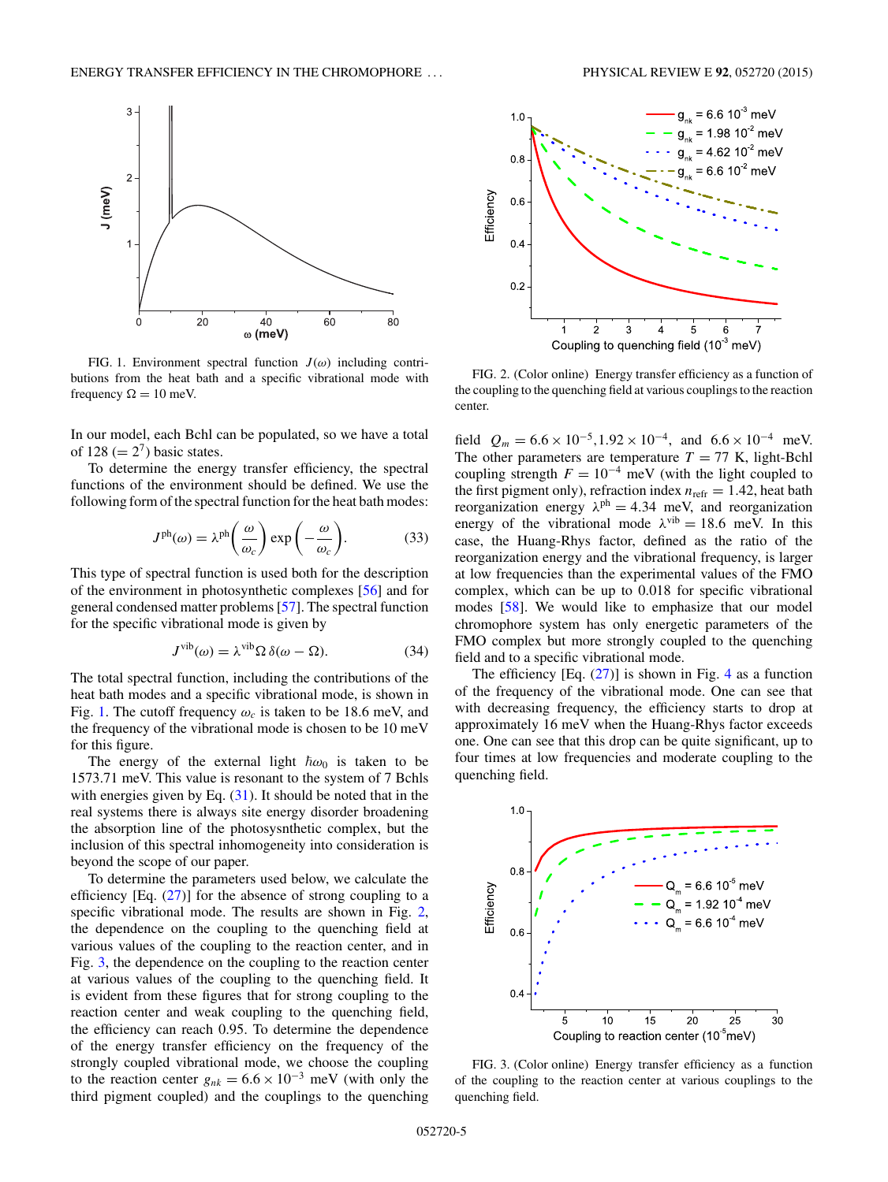

FIG. 1. Environment spectral function  $J(\omega)$  including contributions from the heat bath and a specific vibrational mode with frequency  $\Omega = 10$  meV.

In our model, each Bchl can be populated, so we have a total of 128 ( $= 2<sup>7</sup>$ ) basic states.

To determine the energy transfer efficiency, the spectral functions of the environment should be defined. We use the following form of the spectral function for the heat bath modes:

$$
J^{\text{ph}}(\omega) = \lambda^{\text{ph}} \left( \frac{\omega}{\omega_c} \right) \exp \left( -\frac{\omega}{\omega_c} \right). \tag{33}
$$

This type of spectral function is used both for the description of the environment in photosynthetic complexes [\[56\]](#page-10-0) and for general condensed matter problems [\[57\]](#page-10-0). The spectral function for the specific vibrational mode is given by

$$
J^{\text{vib}}(\omega) = \lambda^{\text{vib}} \Omega \, \delta(\omega - \Omega). \tag{34}
$$

The total spectral function, including the contributions of the heat bath modes and a specific vibrational mode, is shown in Fig. 1. The cutoff frequency  $\omega_c$  is taken to be 18.6 meV, and the frequency of the vibrational mode is chosen to be 10 meV for this figure.

The energy of the external light  $\hbar \omega_0$  is taken to be 1573.71 meV. This value is resonant to the system of 7 Bchls with energies given by Eq.  $(31)$ . It should be noted that in the real systems there is always site energy disorder broadening the absorption line of the photosysnthetic complex, but the inclusion of this spectral inhomogeneity into consideration is beyond the scope of our paper.

To determine the parameters used below, we calculate the efficiency  $[Eq. (27)]$  $[Eq. (27)]$  $[Eq. (27)]$  for the absence of strong coupling to a specific vibrational mode. The results are shown in Fig. 2, the dependence on the coupling to the quenching field at various values of the coupling to the reaction center, and in Fig. 3, the dependence on the coupling to the reaction center at various values of the coupling to the quenching field. It is evident from these figures that for strong coupling to the reaction center and weak coupling to the quenching field, the efficiency can reach 0.95. To determine the dependence of the energy transfer efficiency on the frequency of the strongly coupled vibrational mode, we choose the coupling to the reaction center  $g_{nk} = 6.6 \times 10^{-3}$  meV (with only the third pigment coupled) and the couplings to the quenching



FIG. 2. (Color online) Energy transfer efficiency as a function of the coupling to the quenching field at various couplings to the reaction center.

field  $Q_m = 6.6 \times 10^{-5}$ , 1.92 × 10<sup>-4</sup>, and  $6.6 \times 10^{-4}$  meV. The other parameters are temperature  $T = 77$  K, light-Bchl coupling strength  $F = 10^{-4}$  meV (with the light coupled to the first pigment only), refraction index  $n_{refr} = 1.42$ , heat bath reorganization energy  $\lambda^{ph} = 4.34$  meV, and reorganization energy of the vibrational mode  $\lambda^{vib} = 18.6$  meV. In this case, the Huang-Rhys factor, defined as the ratio of the reorganization energy and the vibrational frequency, is larger at low frequencies than the experimental values of the FMO complex, which can be up to 0.018 for specific vibrational modes [\[58\]](#page-10-0). We would like to emphasize that our model chromophore system has only energetic parameters of the FMO complex but more strongly coupled to the quenching field and to a specific vibrational mode.

The efficiency  $[Eq. (27)]$  $[Eq. (27)]$  $[Eq. (27)]$  is shown in Fig. [4](#page-5-0) as a function of the frequency of the vibrational mode. One can see that with decreasing frequency, the efficiency starts to drop at approximately 16 meV when the Huang-Rhys factor exceeds one. One can see that this drop can be quite significant, up to four times at low frequencies and moderate coupling to the quenching field.



FIG. 3. (Color online) Energy transfer efficiency as a function of the coupling to the reaction center at various couplings to the quenching field.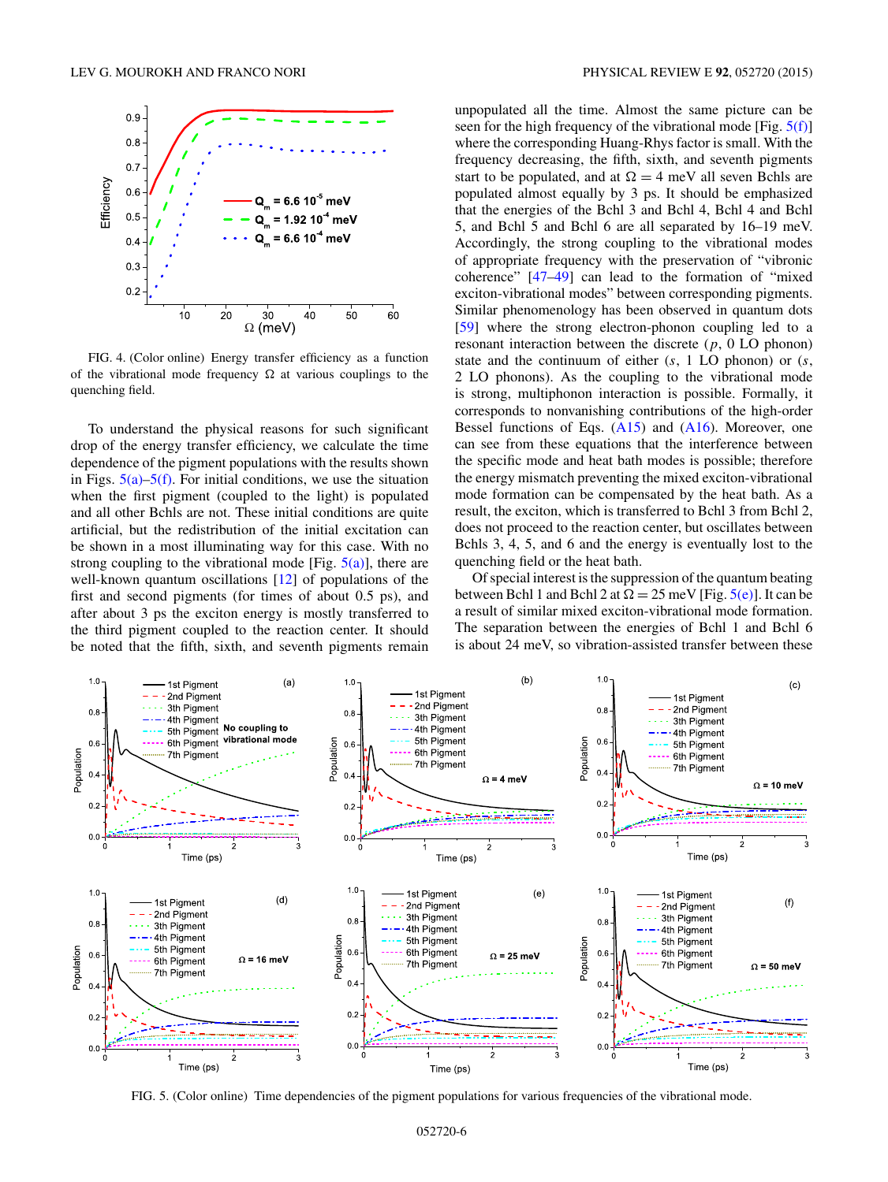<span id="page-5-0"></span>

FIG. 4. (Color online) Energy transfer efficiency as a function of the vibrational mode frequency  $\Omega$  at various couplings to the quenching field.

To understand the physical reasons for such significant drop of the energy transfer efficiency, we calculate the time dependence of the pigment populations with the results shown in Figs.  $5(a)$ – $5(f)$ . For initial conditions, we use the situation when the first pigment (coupled to the light) is populated and all other Bchls are not. These initial conditions are quite artificial, but the redistribution of the initial excitation can be shown in a most illuminating way for this case. With no strong coupling to the vibrational mode [Fig.  $5(a)$ ], there are well-known quantum oscillations [\[12\]](#page-9-0) of populations of the first and second pigments (for times of about 0.5 ps), and after about 3 ps the exciton energy is mostly transferred to the third pigment coupled to the reaction center. It should be noted that the fifth, sixth, and seventh pigments remain

unpopulated all the time. Almost the same picture can be seen for the high frequency of the vibrational mode [Fig. 5(f)] where the corresponding Huang-Rhys factor is small. With the frequency decreasing, the fifth, sixth, and seventh pigments start to be populated, and at  $\Omega = 4$  meV all seven Bchls are populated almost equally by 3 ps. It should be emphasized that the energies of the Bchl 3 and Bchl 4, Bchl 4 and Bchl 5, and Bchl 5 and Bchl 6 are all separated by 16–19 meV. Accordingly, the strong coupling to the vibrational modes of appropriate frequency with the preservation of "vibronic coherence" [\[47–49\]](#page-10-0) can lead to the formation of "mixed exciton-vibrational modes" between corresponding pigments. Similar phenomenology has been observed in quantum dots [\[59\]](#page-10-0) where the strong electron-phonon coupling led to a resonant interaction between the discrete (*p*, 0 LO phonon) state and the continuum of either (*s*, 1 LO phonon) or (*s*, 2 LO phonons). As the coupling to the vibrational mode is strong, multiphonon interaction is possible. Formally, it corresponds to nonvanishing contributions of the high-order Bessel functions of Eqs. [\(A15\)](#page-8-0) and [\(A16\)](#page-9-0). Moreover, one can see from these equations that the interference between the specific mode and heat bath modes is possible; therefore the energy mismatch preventing the mixed exciton-vibrational mode formation can be compensated by the heat bath. As a result, the exciton, which is transferred to Bchl 3 from Bchl 2, does not proceed to the reaction center, but oscillates between Bchls 3, 4, 5, and 6 and the energy is eventually lost to the quenching field or the heat bath.

Of special interest is the suppression of the quantum beating between Bchl 1 and Bchl 2 at  $\Omega = 25$  meV [Fig.  $5(e)$ ]. It can be a result of similar mixed exciton-vibrational mode formation. The separation between the energies of Bchl 1 and Bchl 6 is about 24 meV, so vibration-assisted transfer between these



FIG. 5. (Color online) Time dependencies of the pigment populations for various frequencies of the vibrational mode.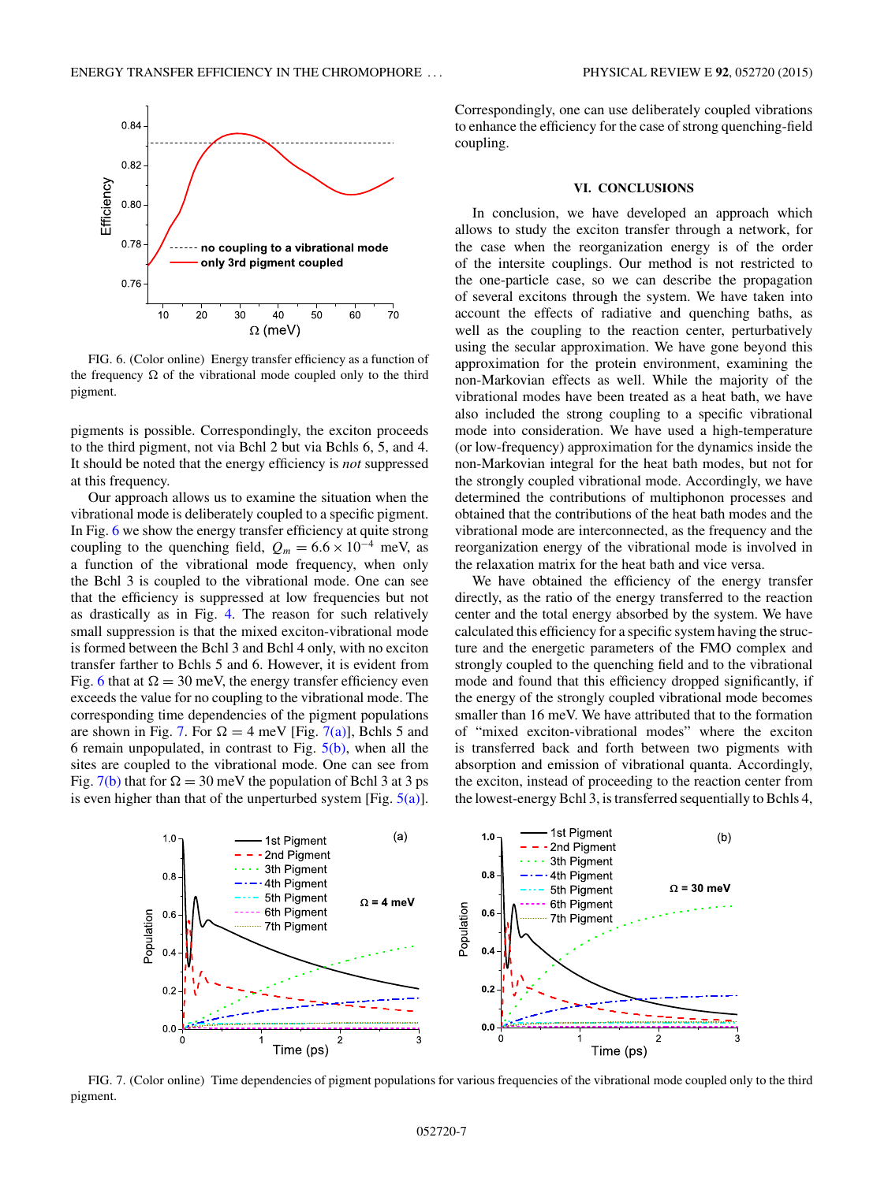<span id="page-6-0"></span>

FIG. 6. (Color online) Energy transfer efficiency as a function of the frequency  $\Omega$  of the vibrational mode coupled only to the third pigment.

pigments is possible. Correspondingly, the exciton proceeds to the third pigment, not via Bchl 2 but via Bchls 6, 5, and 4. It should be noted that the energy efficiency is *not* suppressed at this frequency.

Our approach allows us to examine the situation when the vibrational mode is deliberately coupled to a specific pigment. In Fig. 6 we show the energy transfer efficiency at quite strong coupling to the quenching field,  $Q_m = 6.6 \times 10^{-4}$  meV, as a function of the vibrational mode frequency, when only the Bchl 3 is coupled to the vibrational mode. One can see that the efficiency is suppressed at low frequencies but not as drastically as in Fig. [4.](#page-5-0) The reason for such relatively small suppression is that the mixed exciton-vibrational mode is formed between the Bchl 3 and Bchl 4 only, with no exciton transfer farther to Bchls 5 and 6. However, it is evident from Fig. 6 that at  $\Omega = 30$  meV, the energy transfer efficiency even exceeds the value for no coupling to the vibrational mode. The corresponding time dependencies of the pigment populations are shown in Fig. 7. For  $\Omega = 4$  meV [Fig. 7(a)], Bchls 5 and 6 remain unpopulated, in contrast to Fig.  $5(b)$ , when all the sites are coupled to the vibrational mode. One can see from Fig. 7(b) that for  $\Omega = 30$  meV the population of Bchl 3 at 3 ps is even higher than that of the unperturbed system [Fig.  $5(a)$ ].

Correspondingly, one can use deliberately coupled vibrations to enhance the efficiency for the case of strong quenching-field coupling.

#### **VI. CONCLUSIONS**

In conclusion, we have developed an approach which allows to study the exciton transfer through a network, for the case when the reorganization energy is of the order of the intersite couplings. Our method is not restricted to the one-particle case, so we can describe the propagation of several excitons through the system. We have taken into account the effects of radiative and quenching baths, as well as the coupling to the reaction center, perturbatively using the secular approximation. We have gone beyond this approximation for the protein environment, examining the non-Markovian effects as well. While the majority of the vibrational modes have been treated as a heat bath, we have also included the strong coupling to a specific vibrational mode into consideration. We have used a high-temperature (or low-frequency) approximation for the dynamics inside the non-Markovian integral for the heat bath modes, but not for the strongly coupled vibrational mode. Accordingly, we have determined the contributions of multiphonon processes and obtained that the contributions of the heat bath modes and the vibrational mode are interconnected, as the frequency and the reorganization energy of the vibrational mode is involved in the relaxation matrix for the heat bath and vice versa.

We have obtained the efficiency of the energy transfer directly, as the ratio of the energy transferred to the reaction center and the total energy absorbed by the system. We have calculated this efficiency for a specific system having the structure and the energetic parameters of the FMO complex and strongly coupled to the quenching field and to the vibrational mode and found that this efficiency dropped significantly, if the energy of the strongly coupled vibrational mode becomes smaller than 16 meV. We have attributed that to the formation of "mixed exciton-vibrational modes" where the exciton is transferred back and forth between two pigments with absorption and emission of vibrational quanta. Accordingly, the exciton, instead of proceeding to the reaction center from the lowest-energy Bchl 3, is transferred sequentially to Bchls 4,



FIG. 7. (Color online) Time dependencies of pigment populations for various frequencies of the vibrational mode coupled only to the third pigment.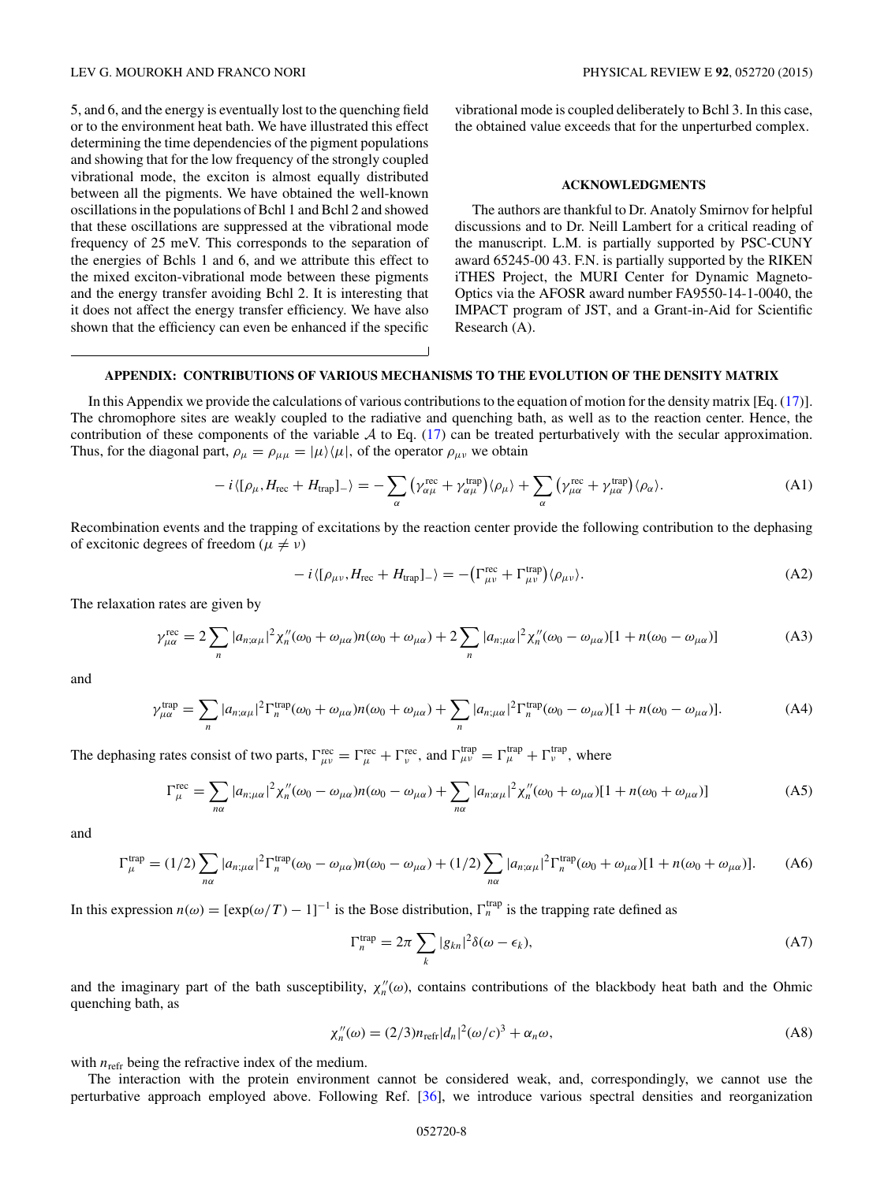## LEV G. MOUROKH AND FRANCO NORI PHYSICAL REVIEW E **92**, 052720 (2015)

5, and 6, and the energy is eventually lost to the quenching field or to the environment heat bath. We have illustrated this effect determining the time dependencies of the pigment populations and showing that for the low frequency of the strongly coupled vibrational mode, the exciton is almost equally distributed between all the pigments. We have obtained the well-known oscillations in the populations of Bchl 1 and Bchl 2 and showed that these oscillations are suppressed at the vibrational mode frequency of 25 meV. This corresponds to the separation of the energies of Bchls 1 and 6, and we attribute this effect to the mixed exciton-vibrational mode between these pigments and the energy transfer avoiding Bchl 2. It is interesting that it does not affect the energy transfer efficiency. We have also shown that the efficiency can even be enhanced if the specific

vibrational mode is coupled deliberately to Bchl 3. In this case, the obtained value exceeds that for the unperturbed complex.

#### **ACKNOWLEDGMENTS**

The authors are thankful to Dr. Anatoly Smirnov for helpful discussions and to Dr. Neill Lambert for a critical reading of the manuscript. L.M. is partially supported by PSC-CUNY award 65245-00 43. F.N. is partially supported by the RIKEN iTHES Project, the MURI Center for Dynamic Magneto-Optics via the AFOSR award number FA9550-14-1-0040, the IMPACT program of JST, and a Grant-in-Aid for Scientific Research (A).

# **APPENDIX: CONTRIBUTIONS OF VARIOUS MECHANISMS TO THE EVOLUTION OF THE DENSITY MATRIX**

In this Appendix we provide the calculations of various contributions to the equation of motion for the density matrix [Eq. [\(17\)](#page-2-0)]. The chromophore sites are weakly coupled to the radiative and quenching bath, as well as to the reaction center. Hence, the contribution of these components of the variable  $A$  to Eq. [\(17\)](#page-2-0) can be treated perturbatively with the secular approximation. Thus, for the diagonal part,  $\rho_{\mu} = \rho_{\mu\mu} = |\mu\rangle\langle\mu|$ , of the operator  $\rho_{\mu\nu}$  we obtain

$$
-i\langle[\rho_{\mu},H_{\text{rec}}+H_{\text{trap}}]_{-}\rangle=-\sum_{\alpha}\left(\gamma_{\alpha\mu}^{\text{rec}}+\gamma_{\alpha\mu}^{\text{trap}}\right)\langle\rho_{\mu}\rangle+\sum_{\alpha}\left(\gamma_{\mu\alpha}^{\text{rec}}+\gamma_{\mu\alpha}^{\text{trap}}\right)\langle\rho_{\alpha}\rangle.
$$
 (A1)

Recombination events and the trapping of excitations by the reaction center provide the following contribution to the dephasing of excitonic degrees of freedom ( $\mu \neq \nu$ )

$$
-i\langle[\rho_{\mu\nu},H_{\rm rec}+H_{\rm trap}]\rangle = -\left(\Gamma_{\mu\nu}^{\rm rec}+\Gamma_{\mu\nu}^{\rm trap}\right)\langle\rho_{\mu\nu}\rangle. \tag{A2}
$$

The relaxation rates are given by

$$
\gamma_{\mu\alpha}^{\text{rec}} = 2 \sum_{n} |a_{n;\alpha\mu}|^2 \chi_n''(\omega_0 + \omega_{\mu\alpha}) n(\omega_0 + \omega_{\mu\alpha}) + 2 \sum_{n} |a_{n;\mu\alpha}|^2 \chi_n''(\omega_0 - \omega_{\mu\alpha}) [1 + n(\omega_0 - \omega_{\mu\alpha})]
$$
(A3)

and

$$
\gamma_{\mu\alpha}^{\text{trap}} = \sum_{n} |a_{n;\alpha\mu}|^2 \Gamma_n^{\text{trap}}(\omega_0 + \omega_{\mu\alpha}) n(\omega_0 + \omega_{\mu\alpha}) + \sum_{n} |a_{n;\mu\alpha}|^2 \Gamma_n^{\text{trap}}(\omega_0 - \omega_{\mu\alpha}) [1 + n(\omega_0 - \omega_{\mu\alpha})]. \tag{A4}
$$

The dephasing rates consist of two parts,  $\Gamma_{\mu\nu}^{\text{rec}} = \Gamma_{\mu}^{\text{rec}} + \Gamma_{\nu}^{\text{rec}}$ , and  $\Gamma_{\mu\nu}^{\text{trap}} = \Gamma_{\mu}^{\text{trap}} + \Gamma_{\nu}^{\text{trap}}$ , where

$$
\Gamma_{\mu}^{\text{rec}} = \sum_{n\alpha} |a_{n;\mu\alpha}|^2 \chi_n''(\omega_0 - \omega_{\mu\alpha}) n(\omega_0 - \omega_{\mu\alpha}) + \sum_{n\alpha} |a_{n;\alpha\mu}|^2 \chi_n''(\omega_0 + \omega_{\mu\alpha}) [1 + n(\omega_0 + \omega_{\mu\alpha})]
$$
(A5)

and

$$
\Gamma_{\mu}^{\text{trap}} = (1/2) \sum_{n\alpha} |a_{n;\mu\alpha}|^2 \Gamma_n^{\text{trap}}(\omega_0 - \omega_{\mu\alpha}) n(\omega_0 - \omega_{\mu\alpha}) + (1/2) \sum_{n\alpha} |a_{n;\alpha\mu}|^2 \Gamma_n^{\text{trap}}(\omega_0 + \omega_{\mu\alpha}) [1 + n(\omega_0 + \omega_{\mu\alpha})]. \tag{A6}
$$

In this expression  $n(\omega) = [\exp(\omega/T) - 1]^{-1}$  is the Bose distribution,  $\Gamma_n^{\text{trap}}$  is the trapping rate defined as

$$
\Gamma_n^{\text{trap}} = 2\pi \sum_k |g_{kn}|^2 \delta(\omega - \epsilon_k),\tag{A7}
$$

and the imaginary part of the bath susceptibility,  $\chi''_n(\omega)$ , contains contributions of the blackbody heat bath and the Ohmic quenching bath, as

$$
\chi''_n(\omega) = (2/3)n_{\text{refr}}|d_n|^2(\omega/c)^3 + \alpha_n \omega,
$$
\n(A8)

with  $n_{refr}$  being the refractive index of the medium.

The interaction with the protein environment cannot be considered weak, and, correspondingly, we cannot use the perturbative approach employed above. Following Ref. [\[36\]](#page-10-0), we introduce various spectral densities and reorganization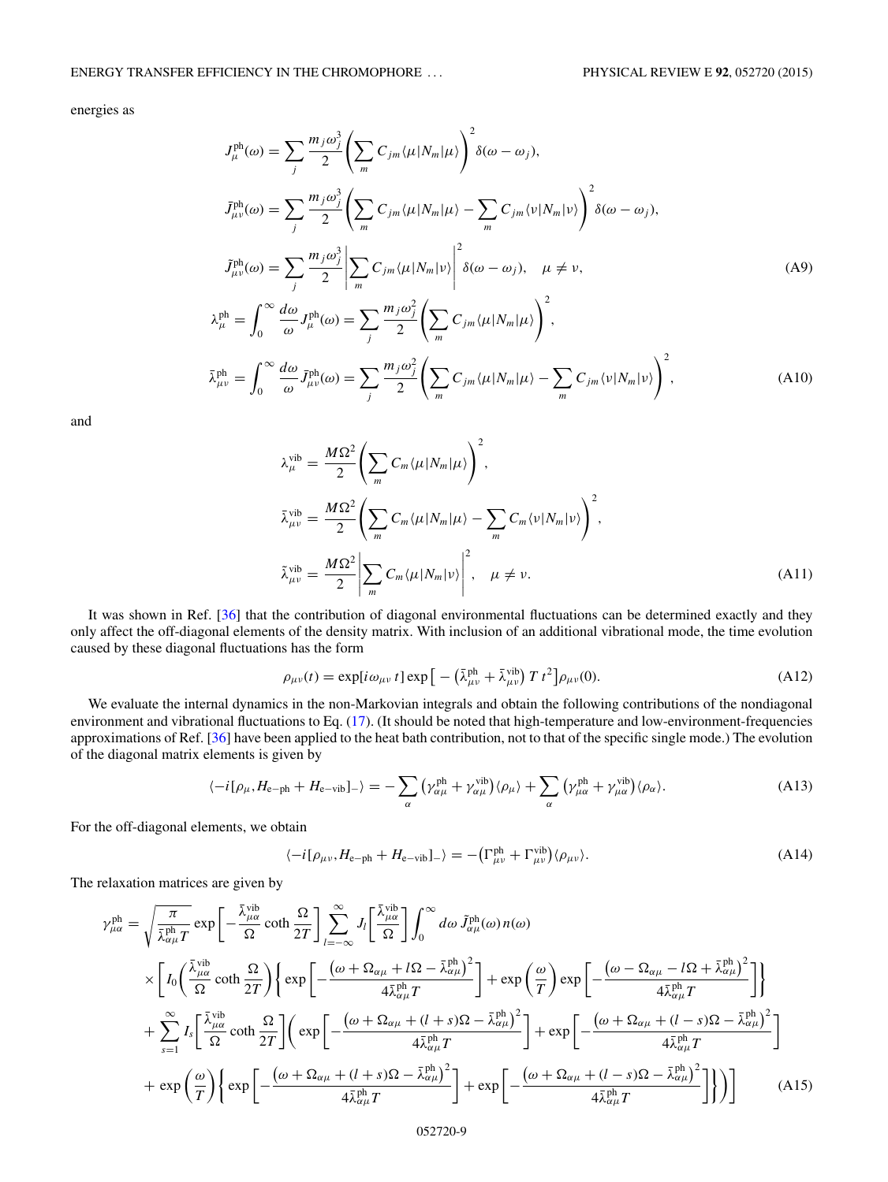## <span id="page-8-0"></span>ENERGY TRANSFER EFFICIENCY IN THE CHROMOPHORE . . . PHYSICAL REVIEW E **92**, 052720 (2015)

energies as

$$
J_{\mu}^{\text{ph}}(\omega) = \sum_{j} \frac{m_{j}\omega_{j}^{3}}{2} \left( \sum_{m} C_{jm} \langle \mu | N_{m} | \mu \rangle \right)^{2} \delta(\omega - \omega_{j}),
$$
  
\n
$$
\bar{J}_{\mu\nu}^{\text{ph}}(\omega) = \sum_{j} \frac{m_{j}\omega_{j}^{3}}{2} \left( \sum_{m} C_{jm} \langle \mu | N_{m} | \mu \rangle - \sum_{m} C_{jm} \langle \nu | N_{m} | \nu \rangle \right)^{2} \delta(\omega - \omega_{j}),
$$
  
\n
$$
\tilde{J}_{\mu\nu}^{\text{ph}}(\omega) = \sum_{j} \frac{m_{j}\omega_{j}^{3}}{2} \left| \sum_{m} C_{jm} \langle \mu | N_{m} | \nu \rangle \right|^{2} \delta(\omega - \omega_{j}), \quad \mu \neq \nu,
$$
  
\n
$$
\lambda_{\mu}^{\text{ph}} = \int_{0}^{\infty} \frac{d\omega}{\omega} J_{\mu}^{\text{ph}}(\omega) = \sum_{j} \frac{m_{j}\omega_{j}^{2}}{2} \left( \sum_{m} C_{jm} \langle \mu | N_{m} | \mu \rangle \right)^{2},
$$
  
\n
$$
\bar{\lambda}_{\mu\nu}^{\text{ph}} = \int_{0}^{\infty} \frac{d\omega}{\omega} \bar{J}_{\mu\nu}^{\text{ph}}(\omega) = \sum_{j} \frac{m_{j}\omega_{j}^{2}}{2} \left( \sum_{m} C_{jm} \langle \mu | N_{m} | \mu \rangle - \sum_{m} C_{jm} \langle \nu | N_{m} | \nu \rangle \right)^{2},
$$
  
\n(A10)

and

$$
\lambda_{\mu}^{\text{vib}} = \frac{M\Omega^2}{2} \left( \sum_{m} C_{m} \langle \mu | N_{m} | \mu \rangle \right)^2,
$$
  
\n
$$
\bar{\lambda}_{\mu\nu}^{\text{vib}} = \frac{M\Omega^2}{2} \left( \sum_{m} C_{m} \langle \mu | N_{m} | \mu \rangle - \sum_{m} C_{m} \langle \nu | N_{m} | \nu \rangle \right)^2,
$$
  
\n
$$
\tilde{\lambda}_{\mu\nu}^{\text{vib}} = \frac{M\Omega^2}{2} \left| \sum_{m} C_{m} \langle \mu | N_{m} | \nu \rangle \right|^2, \quad \mu \neq \nu.
$$
\n(A11)

It was shown in Ref. [\[36\]](#page-10-0) that the contribution of diagonal environmental fluctuations can be determined exactly and they only affect the off-diagonal elements of the density matrix. With inclusion of an additional vibrational mode, the time evolution caused by these diagonal fluctuations has the form

$$
\rho_{\mu\nu}(t) = \exp[i\omega_{\mu\nu} t] \exp\left[-\left(\bar{\lambda}^{\text{ph}}_{\mu\nu} + \bar{\lambda}^{\text{vib}}_{\mu\nu}\right) T t^2\right] \rho_{\mu\nu}(0). \tag{A12}
$$

We evaluate the internal dynamics in the non-Markovian integrals and obtain the following contributions of the nondiagonal environment and vibrational fluctuations to Eq. [\(17\)](#page-2-0). (It should be noted that high-temperature and low-environment-frequencies approximations of Ref. [\[36\]](#page-10-0) have been applied to the heat bath contribution, not to that of the specific single mode.) The evolution of the diagonal matrix elements is given by

$$
\langle -i[\rho_{\mu}, H_{e-ph} + H_{e-vib}]_{-} \rangle = -\sum_{\alpha} (\gamma_{\alpha\mu}^{ph} + \gamma_{\alpha\mu}^{vib}) \langle \rho_{\mu} \rangle + \sum_{\alpha} (\gamma_{\mu\alpha}^{ph} + \gamma_{\mu\alpha}^{vib}) \langle \rho_{\alpha} \rangle. \tag{A13}
$$

For the off-diagonal elements, we obtain

$$
\langle -i[\rho_{\mu\nu}, H_{e-ph} + H_{e-vib}]_{-} \rangle = -(\Gamma^{\text{ph}}_{\mu\nu} + \Gamma^{\text{vib}}_{\mu\nu}) \langle \rho_{\mu\nu} \rangle. \tag{A14}
$$

The relaxation matrices are given by

$$
\gamma_{\mu\alpha}^{\text{ph}} = \sqrt{\frac{\pi}{\bar{\lambda}_{\alpha\mu}^{\text{ph}}} \exp\left[-\frac{\bar{\lambda}_{\mu\alpha}^{\text{vib}}}{\Omega} \coth \frac{\Omega}{2T}\right] \sum_{l=-\infty}^{\infty} J_{l} \left[\frac{\bar{\lambda}_{\mu\alpha}^{\text{vib}}}{\Omega}\right] \int_{0}^{\infty} d\omega \, \tilde{J}_{\alpha\mu}^{\text{ph}}(\omega) n(\omega) \n\times \left[ I_{0} \left(\frac{\bar{\lambda}_{\mu\alpha}^{\text{vib}}}{\Omega} \coth \frac{\Omega}{2T}\right) \left\{ \exp\left[-\frac{(\omega + \Omega_{\alpha\mu} + l\Omega - \bar{\lambda}_{\alpha\mu}^{\text{ph}})^{2}}{4\bar{\lambda}_{\alpha\mu}^{\text{ph}}} \right] + \exp\left(\frac{\omega}{T}\right) \exp\left[-\frac{(\omega - \Omega_{\alpha\mu} - l\Omega + \bar{\lambda}_{\alpha\mu}^{\text{ph}})^{2}}{4\bar{\lambda}_{\alpha\mu}^{\text{ph}}} \right] \right\} \n+ \sum_{s=1}^{\infty} I_{s} \left[\frac{\bar{\lambda}_{\mu\alpha}^{\text{vib}}}{\Omega} \coth \frac{\Omega}{2T}\right] \left(\exp\left[-\frac{(\omega + \Omega_{\alpha\mu} + (l + s)\Omega - \bar{\lambda}_{\alpha\mu}^{\text{ph}})^{2}}{4\bar{\lambda}_{\alpha\mu}^{\text{ph}}} \right] + \exp\left[-\frac{(\omega + \Omega_{\alpha\mu} + (l - s)\Omega - \bar{\lambda}_{\alpha\mu}^{\text{ph}})^{2}}{4\bar{\lambda}_{\alpha\mu}^{\text{ph}}T}\right] \right] \n+ \exp\left(\frac{\omega}{T}\right) \left\{ \exp\left[-\frac{(\omega + \Omega_{\alpha\mu} + (l + s)\Omega - \bar{\lambda}_{\alpha\mu}^{\text{ph}})^{2}}{4\bar{\lambda}_{\alpha\mu}^{\text{ph}}T}\right] + \exp\left[-\frac{(\omega + \Omega_{\alpha\mu} + (l - s)\Omega - \bar{\lambda}_{\alpha\mu}^{\text{ph}})^{2}}{4\bar{\lambda}_{\alpha\mu}^{\text{ph}}T}\right] \right] \right) \tag{A15}
$$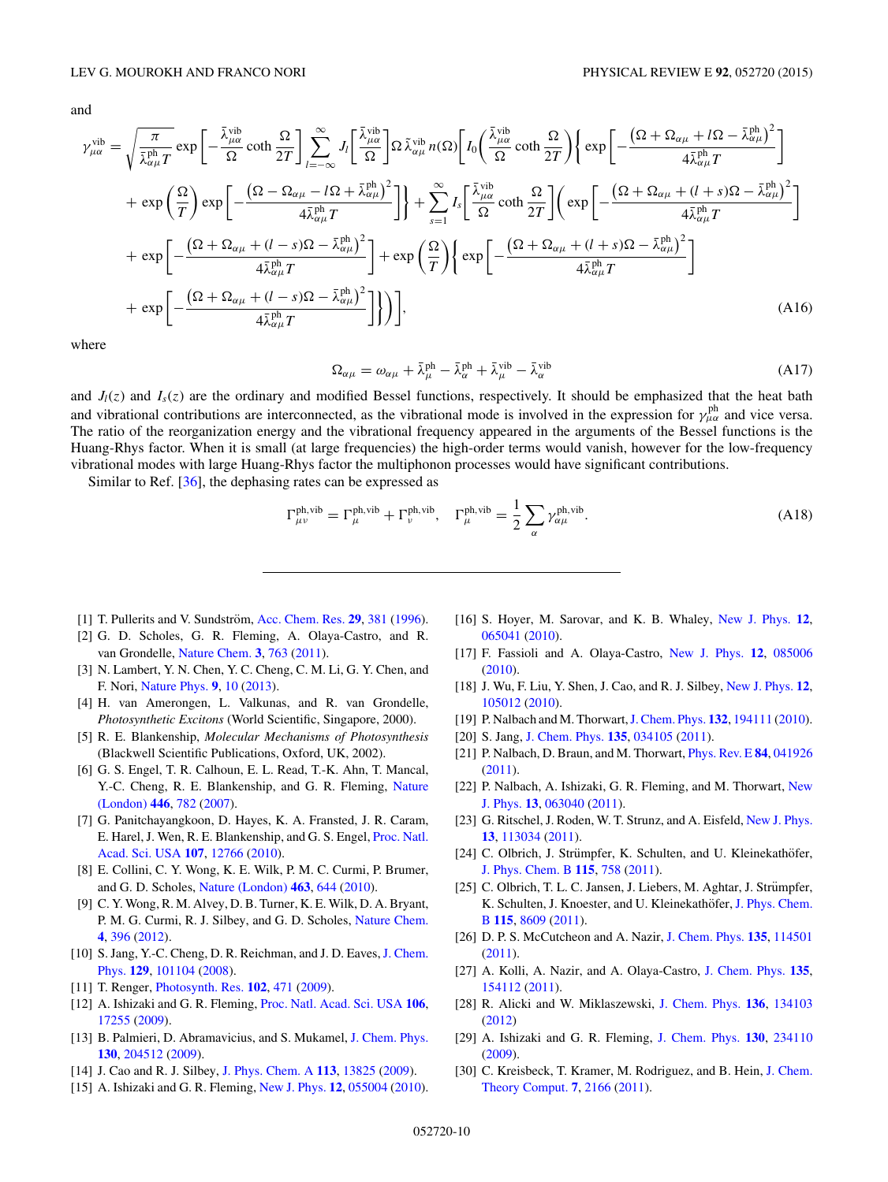<span id="page-9-0"></span>and

$$
\gamma_{\mu\alpha}^{\text{vib}} = \sqrt{\frac{\pi}{\bar{\lambda}_{\mu\alpha}^{\text{ph}}} \exp\left[-\frac{\bar{\lambda}_{\mu\alpha}^{\text{vib}}}{\Omega} \coth \frac{\Omega}{2T}\right] \sum_{l=-\infty}^{\infty} J_{l} \left[\frac{\bar{\lambda}_{\mu\alpha}^{\text{vib}}}{\Omega} \right] \Omega \tilde{\lambda}_{\alpha\mu}^{\text{vib}} n(\Omega) \left[ I_{0} \left(\frac{\bar{\lambda}_{\mu\alpha}^{\text{vib}}}{\Omega} \coth \frac{\Omega}{2T}\right) \left\{ \exp\left[-\frac{\left(\Omega + \Omega_{\alpha\mu} + l\Omega - \bar{\lambda}_{\alpha\mu}^{\text{ph}}\right)^{2}}{4\bar{\lambda}_{\alpha\mu}^{\text{ph}} T}\right] \right] + \exp\left(\frac{\Omega}{T}\right) \exp\left[-\frac{\left(\Omega - \Omega_{\alpha\mu} - l\Omega + \bar{\lambda}_{\alpha\mu}^{\text{ph}}\right)^{2}}{4\bar{\lambda}_{\alpha\mu}^{\text{ph}} T}\right] \right] + \sum_{s=1}^{\infty} I_{s} \left[\frac{\bar{\lambda}_{\mu\alpha}^{\text{vib}}}{\Omega} \coth \frac{\Omega}{2T}\right] \left(\exp\left[-\frac{\left(\Omega + \Omega_{\alpha\mu} + (l+s)\Omega - \bar{\lambda}_{\alpha\mu}^{\text{ph}}\right)^{2}}{4\bar{\lambda}_{\alpha\mu}^{\text{ph}} T}\right] + \exp\left[-\frac{\left(\Omega + \Omega_{\alpha\mu} + (l-s)\Omega - \bar{\lambda}_{\alpha\mu}^{\text{ph}}\right)^{2}}{4\bar{\lambda}_{\alpha\mu}^{\text{ph}} T}\right] + \exp\left(\frac{\Omega}{T}\right) \left\{ \exp\left[-\frac{\left(\Omega + \Omega_{\alpha\mu} + (l+s)\Omega - \bar{\lambda}_{\alpha\mu}^{\text{ph}}\right)^{2}}{4\bar{\lambda}_{\alpha\mu}^{\text{ph}} T}\right] + \exp\left[-\frac{\left(\Omega + \Omega_{\alpha\mu} + (l-s)\Omega - \bar{\lambda}_{\alpha\mu}^{\text{ph}}\right)^{2}}{4\bar{\lambda}_{\alpha\mu}^{\text{ph}} T}\right] \right]
$$
\n(A16)

where

$$
\Omega_{\alpha\mu} = \omega_{\alpha\mu} + \bar{\lambda}^{\text{ph}}_{\mu} - \bar{\lambda}^{\text{ph}}_{\alpha} + \bar{\lambda}^{\text{vib}}_{\mu} - \bar{\lambda}^{\text{vib}}_{\alpha} \tag{A17}
$$

and  $J_l(z)$  and  $I_s(z)$  are the ordinary and modified Bessel functions, respectively. It should be emphasized that the heat bath and vibrational contributions are interconnected, as the vibrational mode is involved in the expression for  $\gamma_{\mu\alpha}^{\rm ph}$  and vice versa. The ratio of the reorganization energy and the vibrational frequency appeared in the arguments of the Bessel functions is the Huang-Rhys factor. When it is small (at large frequencies) the high-order terms would vanish, however for the low-frequency vibrational modes with large Huang-Rhys factor the multiphonon processes would have significant contributions.

Similar to Ref. [\[36\]](#page-10-0), the dephasing rates can be expressed as

$$
\Gamma_{\mu\nu}^{\text{ph,vib}} = \Gamma_{\mu}^{\text{ph,vib}} + \Gamma_{\nu}^{\text{ph,vib}}, \quad \Gamma_{\mu}^{\text{ph,vib}} = \frac{1}{2} \sum_{\alpha} \gamma_{\alpha\mu}^{\text{ph,vib}}.
$$
 (A18)

- [1] T. Pullerits and V. Sundström, [Acc. Chem. Res.](http://dx.doi.org/10.1021/ar950110o) **[29](http://dx.doi.org/10.1021/ar950110o)**, [381](http://dx.doi.org/10.1021/ar950110o) [\(1996\)](http://dx.doi.org/10.1021/ar950110o).
- [2] G. D. Scholes, G. R. Fleming, A. Olaya-Castro, and R. van Grondelle, [Nature Chem.](http://dx.doi.org/10.1038/nchem.1145) **[3](http://dx.doi.org/10.1038/nchem.1145)**, [763](http://dx.doi.org/10.1038/nchem.1145) [\(2011\)](http://dx.doi.org/10.1038/nchem.1145).
- [3] N. Lambert, Y. N. Chen, Y. C. Cheng, C. M. Li, G. Y. Chen, and F. Nori, [Nature Phys.](http://dx.doi.org/10.1038/nphys2474) **[9](http://dx.doi.org/10.1038/nphys2474)**, [10](http://dx.doi.org/10.1038/nphys2474) [\(2013\)](http://dx.doi.org/10.1038/nphys2474).
- [4] H. van Amerongen, L. Valkunas, and R. van Grondelle, *Photosynthetic Excitons* (World Scientific, Singapore, 2000).
- [5] R. E. Blankenship, *Molecular Mechanisms of Photosynthesis* (Blackwell Scientific Publications, Oxford, UK, 2002).
- [6] G. S. Engel, T. R. Calhoun, E. L. Read, T.-K. Ahn, T. Mancal, [Y.-C. Cheng, R. E. Blankenship, and G. R. Fleming,](http://dx.doi.org/10.1038/nature05678) Nature (London) **[446](http://dx.doi.org/10.1038/nature05678)**, [782](http://dx.doi.org/10.1038/nature05678) [\(2007\)](http://dx.doi.org/10.1038/nature05678).
- [7] G. Panitchayangkoon, D. Hayes, K. A. Fransted, J. R. Caram, [E. Harel, J. Wen, R. E. Blankenship, and G. S. Engel,](http://dx.doi.org/10.1073/pnas.1005484107) Proc. Natl. Acad. Sci. USA **[107](http://dx.doi.org/10.1073/pnas.1005484107)**, [12766](http://dx.doi.org/10.1073/pnas.1005484107) [\(2010\)](http://dx.doi.org/10.1073/pnas.1005484107).
- [8] E. Collini, C. Y. Wong, K. E. Wilk, P. M. C. Curmi, P. Brumer, and G. D. Scholes, [Nature \(London\)](http://dx.doi.org/10.1038/nature08811) **[463](http://dx.doi.org/10.1038/nature08811)**, [644](http://dx.doi.org/10.1038/nature08811) [\(2010\)](http://dx.doi.org/10.1038/nature08811).
- [9] C. Y. Wong, R. M. Alvey, D. B. Turner, K. E. Wilk, D. A. Bryant, P. M. G. Curmi, R. J. Silbey, and G. D. Scholes, [Nature Chem.](http://dx.doi.org/10.1038/nchem.1302) **[4](http://dx.doi.org/10.1038/nchem.1302)**, [396](http://dx.doi.org/10.1038/nchem.1302) [\(2012\)](http://dx.doi.org/10.1038/nchem.1302).
- [10] S. Jang, Y.-C. Cheng, D. R. Reichman, and J. D. Eaves, J. Chem. Phys. **[129](http://dx.doi.org/10.1063/1.2977974)**, [101104](http://dx.doi.org/10.1063/1.2977974) [\(2008\)](http://dx.doi.org/10.1063/1.2977974).
- [11] T. Renger, [Photosynth. Res.](http://dx.doi.org/10.1007/s11120-009-9472-9) **[102](http://dx.doi.org/10.1007/s11120-009-9472-9)**, [471](http://dx.doi.org/10.1007/s11120-009-9472-9) [\(2009\)](http://dx.doi.org/10.1007/s11120-009-9472-9).
- [12] A. Ishizaki and G. R. Fleming, [Proc. Natl. Acad. Sci. USA](http://dx.doi.org/10.1073/pnas.0908989106) **[106](http://dx.doi.org/10.1073/pnas.0908989106)**, [17255](http://dx.doi.org/10.1073/pnas.0908989106) [\(2009\)](http://dx.doi.org/10.1073/pnas.0908989106).
- [13] B. Palmieri, D. Abramavicius, and S. Mukamel, [J. Chem. Phys.](http://dx.doi.org/10.1063/1.3142485) **[130](http://dx.doi.org/10.1063/1.3142485)**, [204512](http://dx.doi.org/10.1063/1.3142485) [\(2009\)](http://dx.doi.org/10.1063/1.3142485).
- [14] J. Cao and R. J. Silbey, [J. Phys. Chem. A](http://dx.doi.org/10.1021/jp9032589) **[113](http://dx.doi.org/10.1021/jp9032589)**, [13825](http://dx.doi.org/10.1021/jp9032589) [\(2009\)](http://dx.doi.org/10.1021/jp9032589).
- [15] A. Ishizaki and G. R. Fleming, [New J. Phys.](http://dx.doi.org/10.1088/1367-2630/12/5/055004) **[12](http://dx.doi.org/10.1088/1367-2630/12/5/055004)**, [055004](http://dx.doi.org/10.1088/1367-2630/12/5/055004) [\(2010\)](http://dx.doi.org/10.1088/1367-2630/12/5/055004).
- [16] S. Hoyer, M. Sarovar, and K. B. Whaley, [New J. Phys.](http://dx.doi.org/10.1088/1367-2630/12/6/065041) **[12](http://dx.doi.org/10.1088/1367-2630/12/6/065041)**, [065041](http://dx.doi.org/10.1088/1367-2630/12/6/065041) [\(2010\)](http://dx.doi.org/10.1088/1367-2630/12/6/065041).
- [17] F. Fassioli and A. Olaya-Castro, [New J. Phys.](http://dx.doi.org/10.1088/1367-2630/12/8/085006) **[12](http://dx.doi.org/10.1088/1367-2630/12/8/085006)**, [085006](http://dx.doi.org/10.1088/1367-2630/12/8/085006) [\(2010\)](http://dx.doi.org/10.1088/1367-2630/12/8/085006).
- [18] J. Wu, F. Liu, Y. Shen, J. Cao, and R. J. Silbey, [New J. Phys.](http://dx.doi.org/10.1088/1367-2630/12/10/105012) **[12](http://dx.doi.org/10.1088/1367-2630/12/10/105012)**, [105012](http://dx.doi.org/10.1088/1367-2630/12/10/105012) [\(2010\)](http://dx.doi.org/10.1088/1367-2630/12/10/105012).
- [19] P. Nalbach and M. Thorwart,[J. Chem. Phys.](http://dx.doi.org/10.1063/1.3428385) **[132](http://dx.doi.org/10.1063/1.3428385)**, [194111](http://dx.doi.org/10.1063/1.3428385) [\(2010\)](http://dx.doi.org/10.1063/1.3428385).
- [20] S. Jang, [J. Chem. Phys.](http://dx.doi.org/10.1063/1.3608914) **[135](http://dx.doi.org/10.1063/1.3608914)**, [034105](http://dx.doi.org/10.1063/1.3608914) [\(2011\)](http://dx.doi.org/10.1063/1.3608914).
- [21] P. Nalbach, D. Braun, and M. Thorwart, [Phys. Rev. E](http://dx.doi.org/10.1103/PhysRevE.84.041926) **[84](http://dx.doi.org/10.1103/PhysRevE.84.041926)**, [041926](http://dx.doi.org/10.1103/PhysRevE.84.041926) [\(2011\)](http://dx.doi.org/10.1103/PhysRevE.84.041926).
- [22] [P. Nalbach, A. Ishizaki, G. R. Fleming, and M. Thorwart,](http://dx.doi.org/10.1088/1367-2630/13/6/063040) New J. Phys. **[13](http://dx.doi.org/10.1088/1367-2630/13/6/063040)**, [063040](http://dx.doi.org/10.1088/1367-2630/13/6/063040) [\(2011\)](http://dx.doi.org/10.1088/1367-2630/13/6/063040).
- [23] G. Ritschel, J. Roden, W. T. Strunz, and A. Eisfeld, [New J. Phys.](http://dx.doi.org/10.1088/1367-2630/13/11/113034) **[13](http://dx.doi.org/10.1088/1367-2630/13/11/113034)**, [113034](http://dx.doi.org/10.1088/1367-2630/13/11/113034) [\(2011\)](http://dx.doi.org/10.1088/1367-2630/13/11/113034).
- [24] C. Olbrich, J. Strümpfer, K. Schulten, and U. Kleinekathöfer, [J. Phys. Chem. B](http://dx.doi.org/10.1021/jp1099514) **[115](http://dx.doi.org/10.1021/jp1099514)**, [758](http://dx.doi.org/10.1021/jp1099514) [\(2011\)](http://dx.doi.org/10.1021/jp1099514).
- [25] C. Olbrich, T. L. C. Jansen, J. Liebers, M. Aghtar, J. Strümpfer, K. Schulten, J. Knoester, and U. Kleinekathöfer, J. Phys. Chem. B **[115](http://dx.doi.org/10.1021/jp202619a)**, [8609](http://dx.doi.org/10.1021/jp202619a) [\(2011\)](http://dx.doi.org/10.1021/jp202619a).
- [26] D. P. S. McCutcheon and A. Nazir, [J. Chem. Phys.](http://dx.doi.org/10.1063/1.3636081) **[135](http://dx.doi.org/10.1063/1.3636081)**, [114501](http://dx.doi.org/10.1063/1.3636081) [\(2011\)](http://dx.doi.org/10.1063/1.3636081).
- [27] A. Kolli, A. Nazir, and A. Olaya-Castro, [J. Chem. Phys.](http://dx.doi.org/10.1063/1.3652227) **[135](http://dx.doi.org/10.1063/1.3652227)**, [154112](http://dx.doi.org/10.1063/1.3652227) [\(2011\)](http://dx.doi.org/10.1063/1.3652227).
- [28] R. Alicki and W. Miklaszewski, [J. Chem. Phys.](http://dx.doi.org/10.1063/1.3697975) **[136](http://dx.doi.org/10.1063/1.3697975)**, [134103](http://dx.doi.org/10.1063/1.3697975) [\(2012\)](http://dx.doi.org/10.1063/1.3697975)
- [29] A. Ishizaki and G. R. Fleming, [J. Chem. Phys.](http://dx.doi.org/10.1063/1.3155214) **[130](http://dx.doi.org/10.1063/1.3155214)**, [234110](http://dx.doi.org/10.1063/1.3155214) [\(2009\)](http://dx.doi.org/10.1063/1.3155214).
- [30] [C. Kreisbeck, T. Kramer, M. Rodriguez, and B. Hein,](http://dx.doi.org/10.1021/ct200126d) J. Chem. Theory Comput. **[7](http://dx.doi.org/10.1021/ct200126d)**, [2166](http://dx.doi.org/10.1021/ct200126d) [\(2011\)](http://dx.doi.org/10.1021/ct200126d).